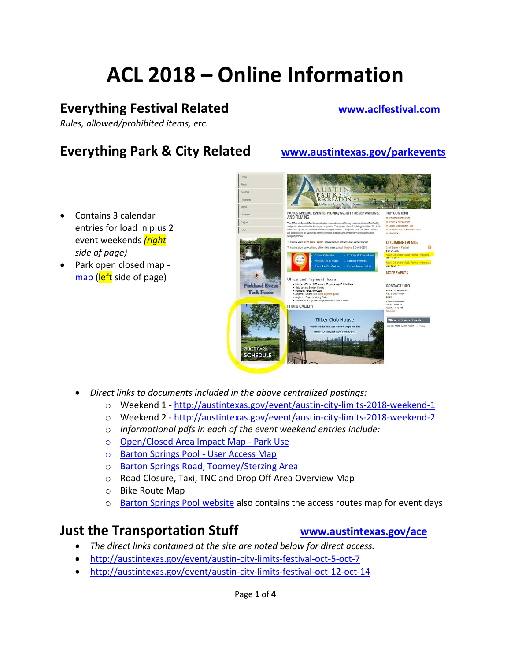# **ACL 2018 – Online Information**

## **Everything Festival Related [www.aclfestival.com](http://www.aclfestival.com/)**

*Rules, allowed/prohibited items, etc.*

# **Everything Park & City Related [www.austintexas.gov/parkevents](http://www.austintexas.gov/parkevents)**

- Contains 3 calendar entries for load in plus 2 event weekends *(right side of page)*
- Park open closed map [map](http://austintexas.gov/sites/default/files/files/Parks/Special_Events/ACLTOLmap/2018zilkermap.pdf) (left side of page)

- *Direct links to documents included in the above centralized postings:*
	- o Weekend 1 <http://austintexas.gov/event/austin-city-limits-2018-weekend-1>
	- o Weekend 2 <http://austintexas.gov/event/austin-city-limits-2018-weekend-2>
	- o *Informational pdfs in each of the event weekend entries include:*
	- o [Open/Closed Area Impact Map -](http://austintexas.gov/sites/default/files/files/Parks/Special_Events/ACLTOLmap/2018zilkermap.pdf) Park Use
	- o [Barton Springs Pool -](http://www.austintexas.gov/sites/default/files/files/Parks/Special_Events/ACLTOLmap/MAP_BartSprPool_access_08212018.pdf) User Access Map
	- o [Barton Springs Road, Toomey/Sterzing Area](http://www.austintexas.gov/sites/default/files/files/Parks/Special_Events/ACLTOLmap/MAP_ACLToomeyAccess_08212018.pdf)
	- o Road Closure, Taxi, TNC and Drop Off Area Overview Map
	- o Bike Route Map
	- o [Barton Springs Pool website](http://www.austintexas.gov/department/barton-springs-pool) also contains the access routes map for event days

### **Just the Transportation Stuff [www.austintexas.gov/ace](http://www.austintexas.gov/ace)**

- *The direct links contained at the site are noted below for direct access.*
- <http://austintexas.gov/event/austin-city-limits-festival-oct-5-oct-7>
- <http://austintexas.gov/event/austin-city-limits-festival-oct-12-oct-14>

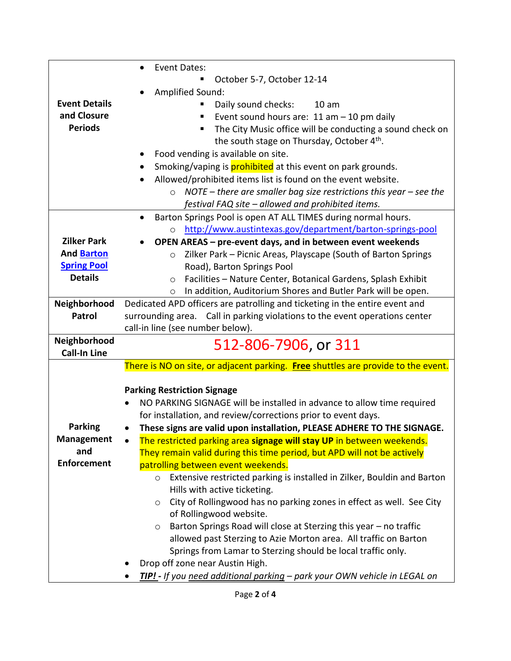|                      | Event Dates:<br>$\bullet$                                                                                                        |
|----------------------|----------------------------------------------------------------------------------------------------------------------------------|
|                      | October 5-7, October 12-14                                                                                                       |
|                      | Amplified Sound:                                                                                                                 |
| <b>Event Details</b> | Daily sound checks:<br>10 <sub>am</sub>                                                                                          |
| and Closure          | Event sound hours are: 11 am - 10 pm daily                                                                                       |
| <b>Periods</b>       | The City Music office will be conducting a sound check on<br>п                                                                   |
|                      | the south stage on Thursday, October 4th.                                                                                        |
|                      | Food vending is available on site.                                                                                               |
|                      | Smoking/vaping is <b>prohibited</b> at this event on park grounds.                                                               |
|                      | Allowed/prohibited items list is found on the event website.                                                                     |
|                      | NOTE – there are smaller bag size restrictions this year – see the<br>$\circ$                                                    |
|                      | festival FAQ site - allowed and prohibited items.                                                                                |
|                      | Barton Springs Pool is open AT ALL TIMES during normal hours.<br>$\bullet$                                                       |
|                      | http://www.austintexas.gov/department/barton-springs-pool<br>$\circ$                                                             |
| <b>Zilker Park</b>   | OPEN AREAS - pre-event days, and in between event weekends                                                                       |
| And <b>Barton</b>    | Zilker Park - Picnic Areas, Playscape (South of Barton Springs<br>$\circ$                                                        |
| <b>Spring Pool</b>   | Road), Barton Springs Pool                                                                                                       |
| <b>Details</b>       | Facilities - Nature Center, Botanical Gardens, Splash Exhibit<br>$\circ$                                                         |
|                      | In addition, Auditorium Shores and Butler Park will be open.<br>O                                                                |
| Neighborhood         | Dedicated APD officers are patrolling and ticketing in the entire event and                                                      |
| Patrol               | surrounding area. Call in parking violations to the event operations center                                                      |
|                      | call-in line (see number below).                                                                                                 |
| Neighborhood         | 512-806-7906, or 311                                                                                                             |
| <b>Call-In Line</b>  |                                                                                                                                  |
|                      | There is NO on site, or adjacent parking. Free shuttles are provide to the event.                                                |
|                      | <b>Parking Restriction Signage</b>                                                                                               |
|                      | NO PARKING SIGNAGE will be installed in advance to allow time required<br>$\bullet$                                              |
|                      | for installation, and review/corrections prior to event days.                                                                    |
| <b>Parking</b>       | These signs are valid upon installation, PLEASE ADHERE TO THE SIGNAGE.<br>$\bullet$                                              |
| <b>Management</b>    | The restricted parking area signage will stay UP in between weekends.                                                            |
| and                  | They remain valid during this time period, but APD will not be actively                                                          |
| <b>Enforcement</b>   | patrolling between event weekends.                                                                                               |
|                      |                                                                                                                                  |
|                      |                                                                                                                                  |
|                      | Extensive restricted parking is installed in Zilker, Bouldin and Barton<br>$\circ$                                               |
|                      | Hills with active ticketing.                                                                                                     |
|                      | City of Rollingwood has no parking zones in effect as well. See City<br>$\circ$                                                  |
|                      | of Rollingwood website.<br>O                                                                                                     |
|                      | Barton Springs Road will close at Sterzing this year - no traffic                                                                |
|                      | allowed past Sterzing to Azie Morton area. All traffic on Barton<br>Springs from Lamar to Sterzing should be local traffic only. |
|                      | Drop off zone near Austin High.                                                                                                  |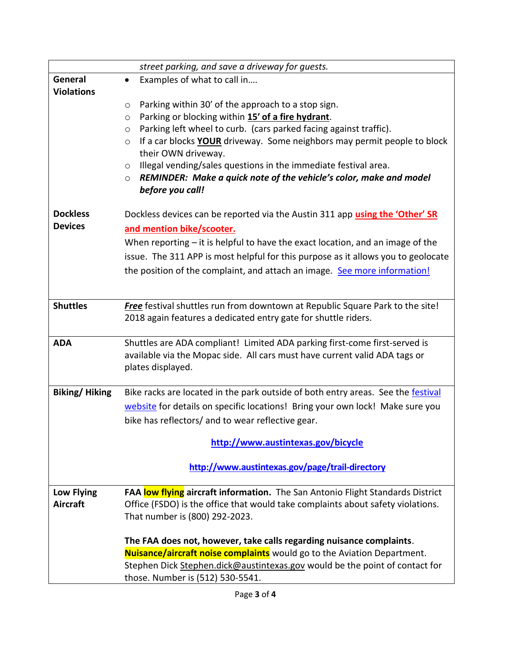|                      | street parking, and save a driveway for guests.                                                                   |
|----------------------|-------------------------------------------------------------------------------------------------------------------|
| General              | Examples of what to call in<br>$\bullet$                                                                          |
| <b>Violations</b>    |                                                                                                                   |
|                      | Parking within 30' of the approach to a stop sign.<br>$\circ$                                                     |
|                      | Parking or blocking within 15' of a fire hydrant.<br>$\circ$                                                      |
|                      | Parking left wheel to curb. (cars parked facing against traffic).<br>$\circ$                                      |
|                      | If a car blocks <b>YOUR</b> driveway. Some neighbors may permit people to block<br>$\circ$<br>their OWN driveway. |
|                      | Illegal vending/sales questions in the immediate festival area.<br>$\circ$                                        |
|                      | REMINDER: Make a quick note of the vehicle's color, make and model<br>$\circ$                                     |
|                      | before you call!                                                                                                  |
| <b>Dockless</b>      | Dockless devices can be reported via the Austin 311 app using the 'Other' SR                                      |
| <b>Devices</b>       | and mention bike/scooter.                                                                                         |
|                      | When reporting $-$ it is helpful to have the exact location, and an image of the                                  |
|                      | issue. The 311 APP is most helpful for this purpose as it allows you to geolocate                                 |
|                      | the position of the complaint, and attach an image. See more information!                                         |
|                      |                                                                                                                   |
| <b>Shuttles</b>      | Free festival shuttles run from downtown at Republic Square Park to the site!                                     |
|                      | 2018 again features a dedicated entry gate for shuttle riders.                                                    |
| <b>ADA</b>           | Shuttles are ADA compliant! Limited ADA parking first-come first-served is                                        |
|                      | available via the Mopac side. All cars must have current valid ADA tags or                                        |
|                      | plates displayed.                                                                                                 |
| <b>Biking/Hiking</b> | Bike racks are located in the park outside of both entry areas. See the festival                                  |
|                      | website for details on specific locations! Bring your own lock! Make sure you                                     |
|                      | bike has reflectors/ and to wear reflective gear.                                                                 |
|                      | http://www.austintexas.gov/bicycle                                                                                |
|                      | http://www.austintexas.gov/page/trail-directory                                                                   |
| <b>Low Flying</b>    | FAA low flying aircraft information. The San Antonio Flight Standards District                                    |
| <b>Aircraft</b>      | Office (FSDO) is the office that would take complaints about safety violations.                                   |
|                      | That number is (800) 292-2023.                                                                                    |
|                      | The FAA does not, however, take calls regarding nuisance complaints.                                              |
|                      | <b>Nuisance/aircraft noise complaints</b> would go to the Aviation Department.                                    |
|                      | Stephen Dick Stephen.dick@austintexas.gov would be the point of contact for                                       |
|                      | those. Number is (512) 530-5541.                                                                                  |